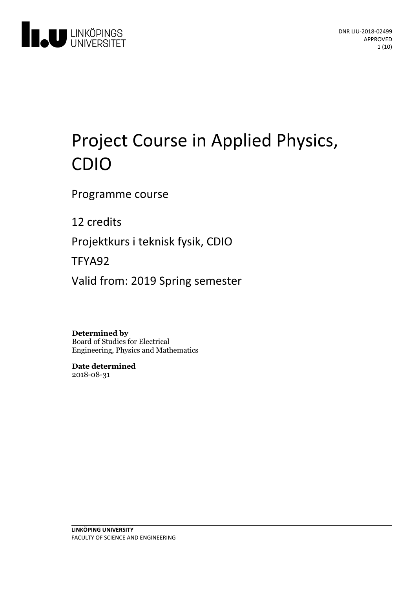

# Project Course in Applied Physics, CDIO

Programme course

12 credits

Projektkurs i teknisk fysik, CDIO

TFYA92

Valid from: 2019 Spring semester

**Determined by** Board of Studies for Electrical Engineering, Physics and Mathematics

**Date determined** 2018-08-31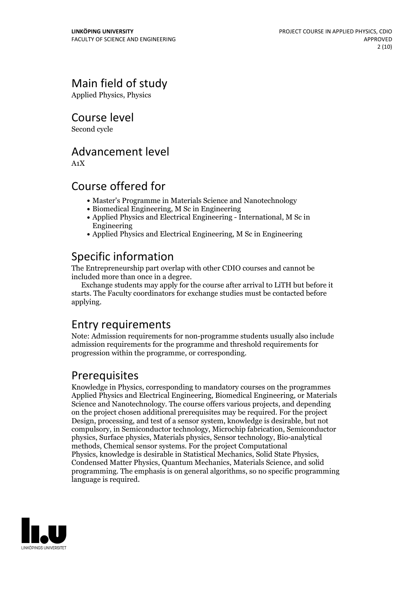# Main field of study

Applied Physics, Physics

Course level

Second cycle

### Advancement level

A1X

### Course offered for

- Master's Programme in Materials Science and Nanotechnology
- Biomedical Engineering, M Sc in Engineering
- Applied Physics and Electrical Engineering International, M Sc in Engineering
- Applied Physics and Electrical Engineering, M Sc in Engineering

# Specific information

The Entrepreneurship part overlap with other CDIO courses and cannot be

included more than once in <sup>a</sup> degree. Exchange students may apply for the course after arrival to LiTH but before it starts. The Faculty coordinators for exchange studies must be contacted before applying.

### Entry requirements

Note: Admission requirements for non-programme students usually also include admission requirements for the programme and threshold requirements for progression within the programme, or corresponding.

### Prerequisites

Knowledge in Physics, corresponding to mandatory courses on the programmes Applied Physics and Electrical Engineering, Biomedical Engineering, or Materials Science and Nanotechnology. The course offers various projects, and depending on the project chosen additional prerequisites may be required. For the project Design, processing, and test of a sensor system, knowledge is desirable, but not compulsory, in Semiconductor technology, Microchip fabrication, Semiconductor physics, Surface physics, Materials physics, Sensor technology, Bio-analytical methods, Chemical sensor systems. For the project Computational Physics, knowledge is desirable in Statistical Mechanics, Solid State Physics, Condensed Matter Physics, Quantum Mechanics, Materials Science, and solid programming. The emphasis is on general algorithms, so no specific programming language is required.

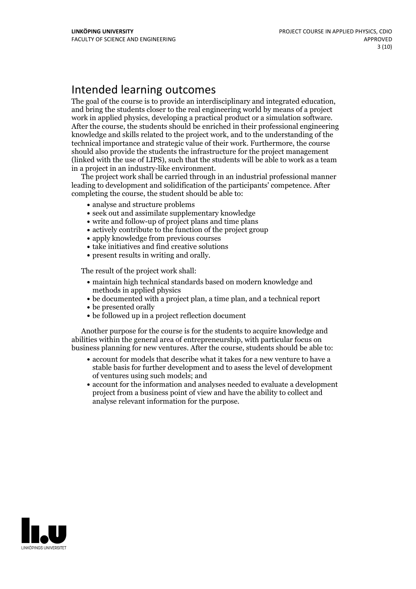### Intended learning outcomes

The goal of the course is to provide an interdisciplinary and integrated education, and bring the students closer to the real engineering world by means of <sup>a</sup> project work in applied physics, developing <sup>a</sup> practical product or <sup>a</sup> simulation software. After the course, the students should be enriched in their professional engineering knowledge and skills related to the project work, and to the understanding of the technical importance and strategic value of their work. Furthermore, the course should also provide the students the infrastructure for the project management (linked with the use of LIPS), such that the students will be able to work as a team in <sup>a</sup> project in an industry-like environment. The project work shall be carried through in an industrial professional manner

leading to development and solidification of the participants' competence. After completing the course, the student should be able to:

- analyse and structure problems
- seek out and assimilate supplementary knowledge
- write and follow-up of project plans and time plans
- actively contribute to the function of the project group
- apply knowledge from previous courses
- take initiatives and find creative solutions
- present results in writing and orally.

The result of the project work shall:

- maintain high technical standards based on modern knowledge and methods in applied physics
- be documented with a project plan, a time plan, and a technical report
- be presented orally
- be followed up in a project reflection document

Another purpose for the course is for the students to acquire knowledge and abilities within the general area of entrepreneurship, with particular focus on business planning for new ventures. After the course, students should be able to:

- account for models that describe what it takes for a new venture to have a stable basis for further development and to asess the level of development of ventures using such models; and
- account for the information and analyses needed to evaluate a development project from a business point of view and have the ability to collect and analyse relevant information for the purpose.

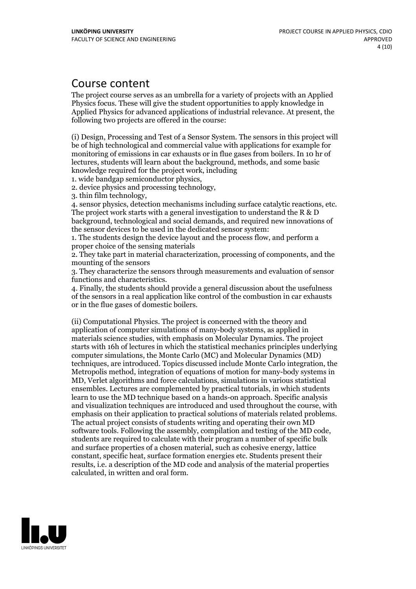### Course content

The project course serves as an umbrella for a variety of projects with an Applied Physics focus. These will give the student opportunities to apply knowledge in Applied Physics for advanced applications of industrial relevance. At present, the following two projects are offered in the course:

(i) Design, Processing and Test of a Sensor System. The sensors in this project will be ofhigh technological and commercial value with applications for example for monitoring of emissions in car exhausts or in flue gases from boilers. In 10 hr of lectures, students will learn about the background, methods, and some basic knowledge required for the project work, including

1. wide bandgap semiconductor physics,<br>
2. device physics and processing technology,<br>
3. thin film technology,<br>
4. sensor physics, detection mechanisms including surface catalytic reactions, etc.<br>
The project work starts background, technological and social demands, and required new innovations of the sensor devices to be used in the dedicated sensor system:

1. The students design the device layout and the process flow, and perform a proper choice of the sensing materials

2. They take part in material characterization, processing of components, and the mounting of the sensors

3. They characterize the sensors through measurements and evaluation of sensor

4. Finally, the students should provide a general discussion about the usefulness of the sensors in a real application like control of the combustion in car exhausts or in the flue gases of domestic boilers.

(ii) Computational Physics. The project is concerned with the theory and application of computer simulations of many-body systems, as applied in materials science studies, with emphasis on Molecular Dynamics. The project starts with 16h of lectures in which the statistical mechanics principles underlying computer simulations, the Monte Carlo (MC) and Molecular Dynamics (MD) techniques, are introduced. Topics discussed include Monte Carlo integration, the Metropolis method, integration of equations of motion for many-body systems in MD, Verlet algorithms and force calculations, simulations in various statistical ensembles. Lectures are complemented by practical tutorials, in which students learn to use the MD technique based on a hands-on approach. Specific analysis and visualization techniques are introduced and used throughout the course, with emphasis on their application to practical solutions of materials related problems. The actual project consists of students writing and operating their own MD software tools. Following the assembly, compilation and testing of the MD code, students are required to calculate with their program <sup>a</sup> number of specific bulk and surface properties of a chosen material, such as cohesive energy, lattice constant, specific heat, surface formation energies etc. Students present their results, i.e. a description of the MD code and analysis of the material properties calculated, in written and oral form.

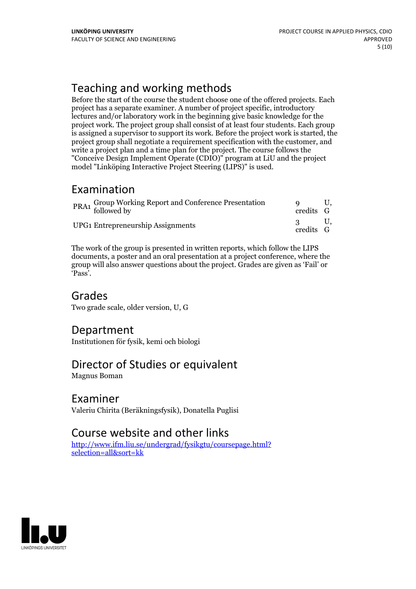# Teaching and working methods

Before the start of the course the student choose one of the offered projects. Each project has a separate examiner. A number of project specific, introductory lectures and/or laboratory work in the beginning give basic knowledge for the project work. The project group shall consist of at least four students. Each group is assigned a supervisor to support its work. Before the project work is started, the project group shall negotiate a requirement specification with the customer, and write a project plan and a time plan for the project. The course follows the "Conceive Design Implement Operate (CDIO)" program at LiU and the project model "Linköping Interactive Project Steering (LIPS)" is used.

### Examination

| PRA1 Group Working Report and Conference Presentation<br>followed by | credits G |  |
|----------------------------------------------------------------------|-----------|--|
| UPG1 Entrepreneurship Assignments                                    | credits G |  |

The work of the group is presented in written reports, which follow the LIPS documents, a poster and an oral presentation at a project conference, where the group will also answer questions about the project. Grades are given as'Fail' or 'Pass'.

### Grades

Two grade scale, older version, U, G

### Department

Institutionen för fysik, kemi och biologi

### Director of Studies or equivalent

Magnus Boman

### Examiner

Valeriu Chirita (Beräkningsfysik), Donatella Puglisi

### Course website and other links

[http://www.ifm.liu.se/undergrad/fysikgtu/coursepage.html?](http://www.ifm.liu.se/undergrad/fysikgtu/coursepage.html?selection=all&sort=kk) selection=all&sort=kk

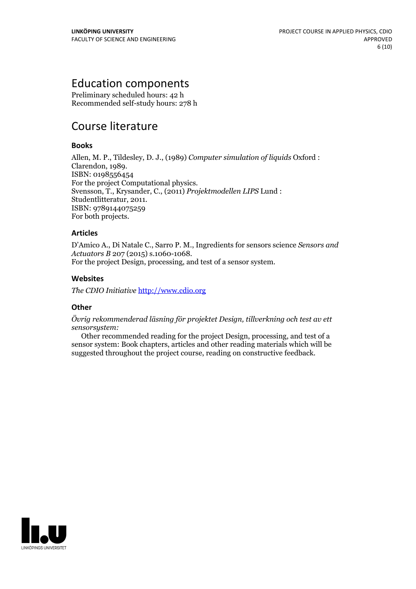### Education components

Preliminary scheduled hours: 42 h Recommended self-study hours: 278 h

# Course literature

#### **Books**

Allen, M. P., Tildesley, D. J., (1989) *Computer simulation of liquids* Oxford : ISBN: 0198556454<br>For the project Computational physics. For the project Computational physics. Svensson, T., Krysander, C., (2011) *Projektmodellen LIPS* Lund : Studentlitteratur, 2011. ISBN: <sup>9789144075259</sup> For both projects.

#### **Articles**

D'Amico A., Di Natale C., Sarro P. M., Ingredients for sensors science *Sensors and Actuators <sup>B</sup>* <sup>207</sup> (2015) s.1060-1068. For the project Design, processing, and test of <sup>a</sup> sensor system.

#### **Websites**

*The CDIO Initiative* <http://www.cdio.org>

#### **Other**

*Övrig rekommenderad läsning för projektet Design, tillverkning och test av ett sensorsystem:*

Other recommended reading for the project Design, processing, and test of a sensor system: Book chapters, articles and other reading materials which will be suggested throughout the project course, reading on constructive feedback.

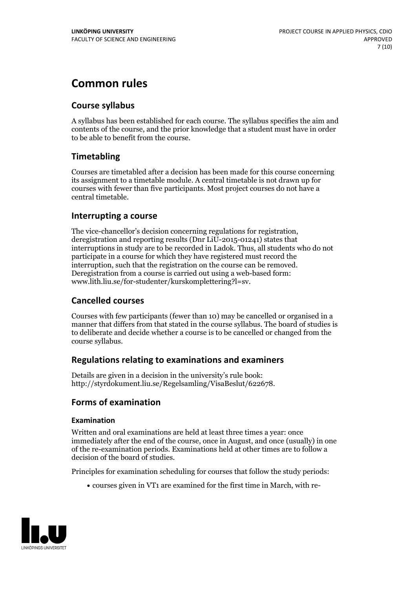# **Common rules**

#### **Course syllabus**

A syllabus has been established for each course. The syllabus specifies the aim and contents of the course, and the prior knowledge that a student must have in order to be able to benefit from the course.

#### **Timetabling**

Courses are timetabled after a decision has been made for this course concerning its assignment to a timetable module. A central timetable is not drawn up for courses with fewer than five participants. Most project courses do not have a central timetable.

#### **Interrupting a course**

The vice-chancellor's decision concerning regulations for registration, deregistration and reporting results (Dnr LiU-2015-01241) states that interruptions in study are to be recorded in Ladok. Thus, all students who do not participate in a course for which they have registered must record the interruption, such that the registration on the course can be removed. Deregistration from <sup>a</sup> course is carried outusing <sup>a</sup> web-based form: www.lith.liu.se/for-studenter/kurskomplettering?l=sv.

#### **Cancelled courses**

Courses with few participants (fewer than 10) may be cancelled or organised in a manner that differs from that stated in the course syllabus. The board of studies is to deliberate and decide whether a course is to be cancelled orchanged from the course syllabus.

#### **Regulations relatingto examinations and examiners**

Details are given in a decision in the university's rule book: http://styrdokument.liu.se/Regelsamling/VisaBeslut/622678.

#### **Forms of examination**

#### **Examination**

Written and oral examinations are held at least three times a year: once immediately after the end of the course, once in August, and once (usually) in one of the re-examination periods. Examinations held at other times are to follow a decision of the board of studies.

Principles for examination scheduling for courses that follow the study periods:

courses given in VT1 are examined for the first time in March, with re-

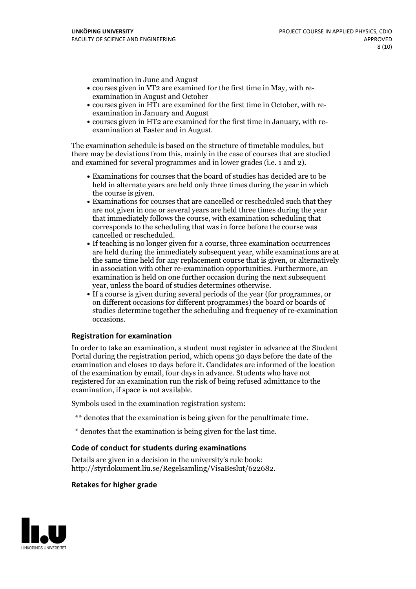examination in June and August

- courses given in VT2 are examined for the first time in May, with re-examination in August and October
- courses given in HT1 are examined for the first time in October, with re-examination in January and August
- courses given in HT2 are examined for the first time in January, with re-examination at Easter and in August.

The examination schedule is based on the structure of timetable modules, but there may be deviations from this, mainly in the case of courses that are studied and examined for several programmes and in lower grades (i.e. 1 and 2).

- Examinations for courses that the board of studies has decided are to be held in alternate years are held only three times during the year in which
- the course is given.<br>• Examinations for courses that are cancelled or rescheduled such that they are not given in one or several years are held three times during the year that immediately follows the course, with examination scheduling that corresponds to the scheduling that was in force before the course was cancelled or rescheduled.<br>• If teaching is no longer given for a course, three examination occurrences
- are held during the immediately subsequent year, while examinations are at the same time held for any replacement course that is given, or alternatively in association with other re-examination opportunities. Furthermore, an examination is held on one further occasion during the next subsequent year, unless the board of studies determines otherwise.<br>• If a course is given during several periods of the year (for programmes, or
- on different occasions for different programmes) the board orboards of studies determine together the scheduling and frequency of re-examination occasions.

#### **Registration for examination**

In order to take an examination, a student must register in advance at the Student Portal during the registration period, which opens 30 days before the date of the examination and closes 10 days before it. Candidates are informed of the location of the examination by email, four days in advance. Students who have not registered for an examination run the risk of being refused admittance to the examination, if space is not available.

Symbols used in the examination registration system:

- \*\* denotes that the examination is being given for the penultimate time.
- \* denotes that the examination is being given for the last time.

#### **Code of conduct for students during examinations**

Details are given in a decision in the university's rule book: http://styrdokument.liu.se/Regelsamling/VisaBeslut/622682.

#### **Retakes for higher grade**

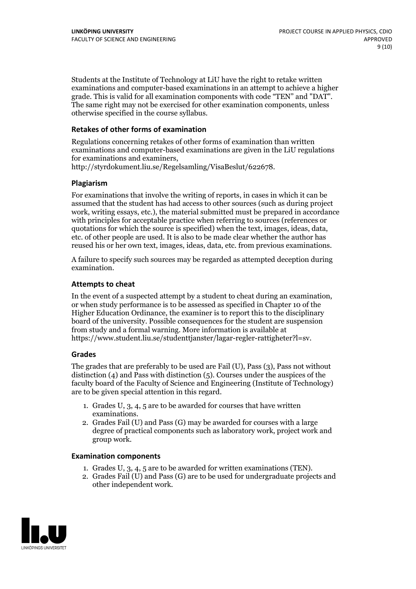Students at the Institute of Technology at LiU have the right to retake written examinations and computer-based examinations in an attempt to achieve a higher grade. This is valid for all examination components with code "TEN" and "DAT". The same right may not be exercised for other examination components, unless otherwise specified in the course syllabus.

#### **Retakes of other forms of examination**

Regulations concerning retakes of other forms of examination than written examinations and computer-based examinations are given in the LiU regulations for examinations and examiners, http://styrdokument.liu.se/Regelsamling/VisaBeslut/622678.

#### **Plagiarism**

For examinations that involve the writing of reports, in cases in which it can be assumed that the student has had access to other sources (such as during project work, writing essays, etc.), the material submitted must be prepared in accordance with principles for acceptable practice when referring to sources (references or quotations for which the source is specified) when the text, images, ideas, data, etc. of other people are used. It is also to be made clear whether the author has reused his or her own text, images, ideas, data, etc. from previous examinations.

A failure to specify such sources may be regarded as attempted deception during examination.

#### **Attempts to cheat**

In the event of <sup>a</sup> suspected attempt by <sup>a</sup> student to cheat during an examination, or when study performance is to be assessed as specified in Chapter <sup>10</sup> of the Higher Education Ordinance, the examiner is to report this to the disciplinary board of the university. Possible consequences for the student are suspension from study and a formal warning. More information is available at https://www.student.liu.se/studenttjanster/lagar-regler-rattigheter?l=sv.

#### **Grades**

The grades that are preferably to be used are Fail (U), Pass (3), Pass not without distinction  $(4)$  and Pass with distinction  $(5)$ . Courses under the auspices of the faculty board of the Faculty of Science and Engineering (Institute of Technology) are to be given special attention in this regard.

- 1. Grades U, 3, 4, 5 are to be awarded for courses that have written
- examinations. 2. Grades Fail (U) and Pass (G) may be awarded for courses with <sup>a</sup> large degree of practical components such as laboratory work, project work and group work.

#### **Examination components**

- 
- 1. Grades U, 3, 4, <sup>5</sup> are to be awarded for written examinations (TEN). 2. Grades Fail (U) and Pass (G) are to be used for undergraduate projects and other independent work.